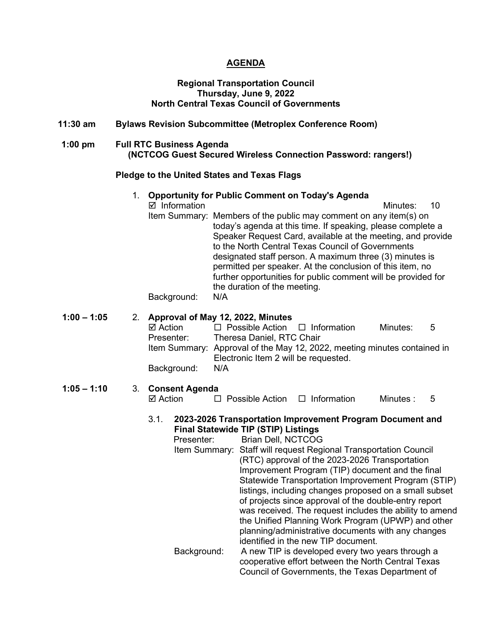#### **AGENDA**

#### **Regional Transportation Council Thursday, June 9, 2022 North Central Texas Council of Governments**

### **11:30 am Bylaws Revision Subcommittee (Metroplex Conference Room)**

#### **1:00 pm Full RTC Business Agenda (NCTCOG Guest Secured Wireless Connection Password: rangers!)**

#### **Pledge to the United States and Texas Flags**

1. **Opportunity for Public Comment on Today's Agenda** Information Minutes: 10 Item Summary: Members of the public may comment on any item(s) on today's agenda at this time. If speaking, please complete a Speaker Request Card, available at the meeting, and provide to the North Central Texas Council of Governments designated staff person. A maximum three (3) minutes is permitted per speaker. At the conclusion of this item, no further opportunities for public comment will be provided for the duration of the meeting.

Background: N/A

#### **1:00 – 1:05** 2. **Approval of May 12, 2022, Minutes**

|     | Minutes:                                                                                                       | - 5                                                                      |
|-----|----------------------------------------------------------------------------------------------------------------|--------------------------------------------------------------------------|
|     |                                                                                                                |                                                                          |
|     |                                                                                                                |                                                                          |
|     |                                                                                                                |                                                                          |
| N/A |                                                                                                                |                                                                          |
|     | $\Box$ Possible Action $\Box$ Information<br>Theresa Daniel, RTC Chair<br>Electronic Item 2 will be requested. | Item Summary: Approval of the May 12, 2022, meeting minutes contained in |

# **1:05 – 1:10** 3. **Consent Agenda**

 $\Box$  Possible Action  $\Box$  Information Minutes : 5

#### 3.1. **2023-2026 Transportation Improvement Program Document and Final Statewide TIP (STIP) Listings**

Presenter: Brian Dell, NCTCOG Item Summary: Staff will request Regional Transportation Council (RTC) approval of the 2023-2026 Transportation Improvement Program (TIP) document and the final Statewide Transportation Improvement Program (STIP) listings, including changes proposed on a small subset of projects since approval of the double-entry report was received. The request includes the ability to amend the Unified Planning Work Program (UPWP) and other planning/administrative documents with any changes identified in the new TIP document. Background: A new TIP is developed every two years through a cooperative effort between the North Central Texas

Council of Governments, the Texas Department of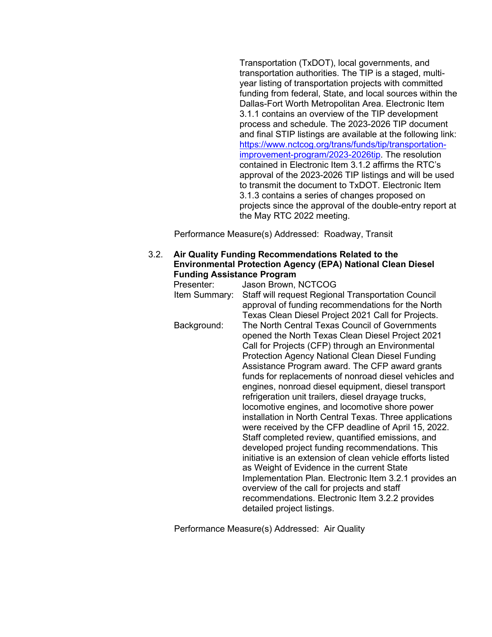Transportation (TxDOT), local governments, and transportation authorities. The TIP is a staged, multiyear listing of transportation projects with committed funding from federal, State, and local sources within the Dallas-Fort Worth Metropolitan Area. Electronic Item 3.1.1 contains an overview of the TIP development process and schedule. The 2023-2026 TIP document and final STIP listings are available at the following link: [https://www.nctcog.org/trans/funds/tip/transportation](https://www.nctcog.org/trans/funds/tip/transportation-improvement-program/2023-2026tip)[improvement-program/2023-2026tip.](https://www.nctcog.org/trans/funds/tip/transportation-improvement-program/2023-2026tip) The resolution contained in Electronic Item 3.1.2 affirms the RTC's approval of the 2023-2026 TIP listings and will be used to transmit the document to TxDOT. Electronic Item 3.1.3 contains a series of changes proposed on projects since the approval of the double-entry report at the May RTC 2022 meeting.

Performance Measure(s) Addressed: Roadway, Transit

#### 3.2. **Air Quality Funding Recommendations Related to the Environmental Protection Agency (EPA) National Clean Diesel Funding Assistance Program**

| Presenter:    | Jason Brown, NCTCOG                                        |
|---------------|------------------------------------------------------------|
| Item Summary: | Staff will request Regional Transportation Council         |
|               | approval of funding recommendations for the North          |
|               | Texas Clean Diesel Project 2021 Call for Projects.         |
| Background:   | The North Central Texas Council of Governments             |
|               | opened the North Texas Clean Diesel Project 2021           |
|               | Call for Projects (CFP) through an Environmental           |
|               | <b>Protection Agency National Clean Diesel Funding</b>     |
|               | Assistance Program award. The CFP award grants             |
|               | funds for replacements of nonroad diesel vehicles and      |
|               | engines, nonroad diesel equipment, diesel transport        |
|               | refrigeration unit trailers, diesel drayage trucks,        |
|               | locomotive engines, and locomotive shore power             |
|               | installation in North Central Texas. Three applications    |
|               | were received by the CFP deadline of April 15, 2022.       |
|               | Staff completed review, quantified emissions, and          |
|               | developed project funding recommendations. This            |
|               | initiative is an extension of clean vehicle efforts listed |
|               | as Weight of Evidence in the current State                 |
|               | Implementation Plan. Electronic Item 3.2.1 provides an     |
|               | overview of the call for projects and staff                |
|               | recommendations. Electronic Item 3.2.2 provides            |
|               | detailed project listings.                                 |

Performance Measure(s) Addressed: Air Quality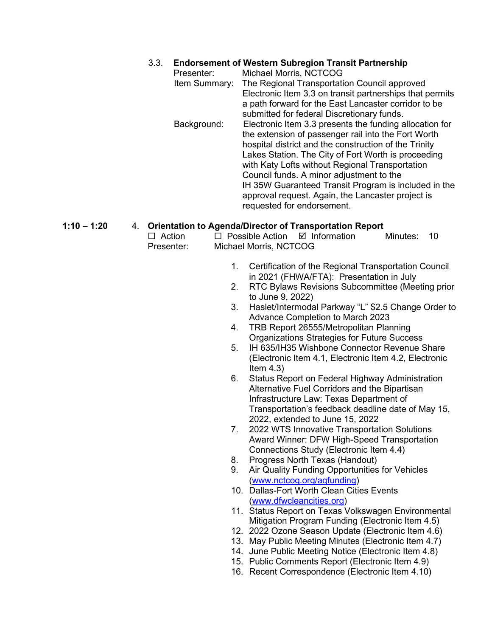### 3.3. **Endorsement of Western Subregion Transit Partnership**

| Michael Morris, NCTCOG                                   |
|----------------------------------------------------------|
| The Regional Transportation Council approved             |
| Electronic Item 3.3 on transit partnerships that permits |
| a path forward for the East Lancaster corridor to be     |
| submitted for federal Discretionary funds.               |
| Electronic Item 3.3 presents the funding allocation for  |
| the extension of passenger rail into the Fort Worth      |
| hospital district and the construction of the Trinity    |
| Lakes Station. The City of Fort Worth is proceeding      |
| with Katy Lofts without Regional Transportation          |
| Council funds. A minor adjustment to the                 |
| IH 35W Guaranteed Transit Program is included in the     |
| approval request. Again, the Lancaster project is        |
| requested for endorsement.                               |
|                                                          |

### **1:10 – 1:20** 4. **Orientation to Agenda/Director of Transportation Report**

| $\Box$ Action | $\Box$ Possible Action $\Box$ Information | Minutes: 10 |  |
|---------------|-------------------------------------------|-------------|--|
| Presenter:    | Michael Morris, NCTCOG                    |             |  |

- 1. Certification of the Regional Transportation Council in 2021 (FHWA/FTA): Presentation in July
- 2. RTC Bylaws Revisions Subcommittee (Meeting prior to June 9, 2022)
- 3. Haslet/Intermodal Parkway "L" \$2.5 Change Order to Advance Completion to March 2023
- 4. TRB Report 26555/Metropolitan Planning Organizations Strategies for Future Success
- 5. IH 635/IH35 Wishbone Connector Revenue Share (Electronic Item 4.1, Electronic Item 4.2, Electronic Item 4.3)
- 6. Status Report on Federal Highway Administration Alternative Fuel Corridors and the Bipartisan Infrastructure Law: Texas Department of Transportation's feedback deadline date of May 15, 2022, extended to June 15, 2022
- 7. 2022 WTS Innovative Transportation Solutions Award Winner: DFW High-Speed Transportation Connections Study (Electronic Item 4.4)
- 8. Progress North Texas (Handout)
- 9. Air Quality Funding Opportunities for Vehicles [\(www.nctcog.org/aqfunding\)](https://nam12.safelinks.protection.outlook.com/?url=http%3A%2F%2Fwww.nctcog.org%2Faqfunding&data=05%7C01%7CTStehling%40nctcog.org%7C9690ee0eefd44dc2902508da435c039d%7C2f5e7ebc22b04fbe934caabddb4e29b1%7C0%7C0%7C637896359720317324%7CUnknown%7CTWFpbGZsb3d8eyJWIjoiMC4wLjAwMDAiLCJQIjoiV2luMzIiLCJBTiI6Ik1haWwiLCJXVCI6Mn0%3D%7C3000%7C%7C%7C&sdata=1CqvQX%2BDkIQ8XAEM%2FlluDVrgL%2F4N0p%2BZp%2BOuuJzC9ww%3D&reserved=0)
- 10. Dallas-Fort Worth Clean Cities Events [\(www.dfwcleancities.org\)](http://www.dfwcleancities.org/)
- 11. Status Report on Texas Volkswagen Environmental Mitigation Program Funding (Electronic Item 4.5)
- 12. 2022 Ozone Season Update (Electronic Item 4.6)
- 13. May Public Meeting Minutes (Electronic Item 4.7)
- 14. June Public Meeting Notice (Electronic Item 4.8)
- 15. Public Comments Report (Electronic Item 4.9)
- 16. Recent Correspondence (Electronic Item 4.10)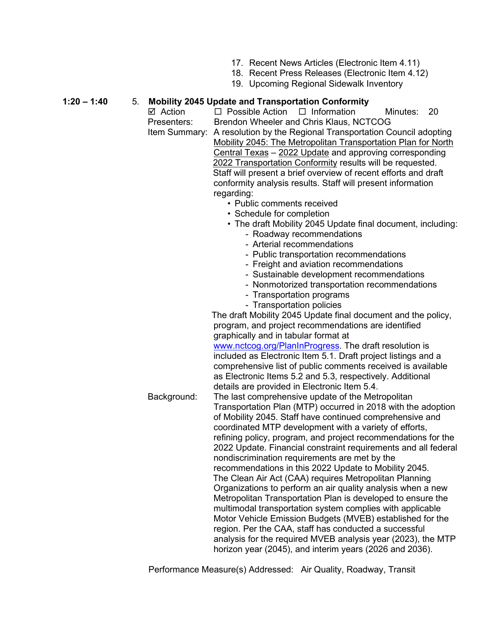- 17. Recent News Articles (Electronic Item 4.11)
- 18. Recent Press Releases (Electronic Item 4.12)
- 19. Upcoming Regional Sidewalk Inventory

# **1:20 – 1:40** 5. **Mobility 2045 Update and Transportation Conformity**

- $\Box$  Possible Action  $\Box$  Information Minutes: 20 Presenters: Brendon Wheeler and Chris Klaus, NCTCOG Item Summary: A resolution by the Regional Transportation Council adopting Mobility 2045: The Metropolitan Transportation Plan for North Central Texas – 2022 Update and approving corresponding 2022 Transportation Conformity results will be requested. Staff will present a brief overview of recent efforts and draft conformity analysis results. Staff will present information regarding:
	- Public comments received
	- Schedule for completion
	- The draft Mobility 2045 Update final document, including:
		- Roadway recommendations
			- Arterial recommendations
			- Public transportation recommendations
			- Freight and aviation recommendations
			- Sustainable development recommendations
			- Nonmotorized transportation recommendations
			- Transportation programs
			- Transportation policies

 The draft Mobility 2045 Update final document and the policy, program, and project recommendations are identified graphically and in tabular format at [www.nctcog.org/PlanInProgress.](http://www.nctcog.org/PlanInProgress) The draft resolution is included as Electronic Item 5.1. Draft project listings and a comprehensive list of public comments received is available as Electronic Items 5.2 and 5.3, respectively. Additional details are provided in Electronic Item 5.4. Background: The last comprehensive update of the Metropolitan Transportation Plan (MTP) occurred in 2018 with the adoption of Mobility 2045. Staff have continued comprehensive and coordinated MTP development with a variety of efforts, refining policy, program, and project recommendations for the 2022 Update. Financial constraint requirements and all federal nondiscrimination requirements are met by the recommendations in this 2022 Update to Mobility 2045. The Clean Air Act (CAA) requires Metropolitan Planning Organizations to perform an air quality analysis when a new Metropolitan Transportation Plan is developed to ensure the multimodal transportation system complies with applicable Motor Vehicle Emission Budgets (MVEB) established for the region. Per the CAA, staff has conducted a successful analysis for the required MVEB analysis year (2023), the MTP horizon year (2045), and interim years (2026 and 2036).

Performance Measure(s) Addressed: Air Quality, Roadway, Transit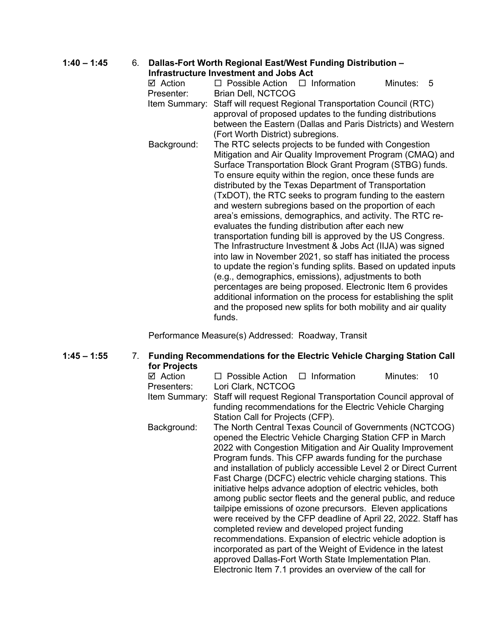# **1:40 – 1:45** 6. **Dallas-Fort Worth Regional East/West Funding Distribution –**

**Infrastructure Investment and Jobs Act**

|                                                            | IIIII ASU UCLUI 6 IIIV 63UII 61IU AND ACL                        |  |          |   |  |
|------------------------------------------------------------|------------------------------------------------------------------|--|----------|---|--|
| ☑ Action                                                   | $\Box$ Possible Action $\Box$ Information                        |  | Minutes: | 5 |  |
| Presenter:                                                 | Brian Dell, NCTCOG                                               |  |          |   |  |
| Item Summary:                                              | Staff will request Regional Transportation Council (RTC)         |  |          |   |  |
|                                                            | approval of proposed updates to the funding distributions        |  |          |   |  |
|                                                            | between the Eastern (Dallas and Paris Districts) and Western     |  |          |   |  |
|                                                            | (Fort Worth District) subregions.                                |  |          |   |  |
| Background:                                                | The RTC selects projects to be funded with Congestion            |  |          |   |  |
|                                                            | Mitigation and Air Quality Improvement Program (CMAQ) and        |  |          |   |  |
|                                                            | Surface Transportation Block Grant Program (STBG) funds.         |  |          |   |  |
|                                                            | To ensure equity within the region, once these funds are         |  |          |   |  |
|                                                            | distributed by the Texas Department of Transportation            |  |          |   |  |
|                                                            | (TxDOT), the RTC seeks to program funding to the eastern         |  |          |   |  |
|                                                            | and western subregions based on the proportion of each           |  |          |   |  |
|                                                            | area's emissions, demographics, and activity. The RTC re-        |  |          |   |  |
|                                                            | evaluates the funding distribution after each new                |  |          |   |  |
|                                                            | transportation funding bill is approved by the US Congress.      |  |          |   |  |
| The Infrastructure Investment & Jobs Act (IIJA) was signed |                                                                  |  |          |   |  |
|                                                            | into law in November 2021, so staff has initiated the process    |  |          |   |  |
|                                                            | to update the region's funding splits. Based on updated inputs   |  |          |   |  |
|                                                            | (e.g., demographics, emissions), adjustments to both             |  |          |   |  |
|                                                            | percentages are being proposed. Electronic Item 6 provides       |  |          |   |  |
|                                                            | additional information on the process for establishing the split |  |          |   |  |
|                                                            | and the proposed new splits for both mobility and air quality    |  |          |   |  |
|                                                            | funds.                                                           |  |          |   |  |

Performance Measure(s) Addressed: Roadway, Transit

#### **1:45 – 1:55** 7. **Funding Recommendations for the Electric Vehicle Charging Station Call for Projects**

| ⊠ Action      | $\Box$ Possible Action $\Box$ Information                     |  | Minutes:<br>10                                                    |  |
|---------------|---------------------------------------------------------------|--|-------------------------------------------------------------------|--|
| Presenters:   | Lori Clark, NCTCOG                                            |  |                                                                   |  |
|               |                                                               |  |                                                                   |  |
| Item Summary: |                                                               |  | Staff will request Regional Transportation Council approval of    |  |
|               |                                                               |  | funding recommendations for the Electric Vehicle Charging         |  |
|               | Station Call for Projects (CFP).                              |  |                                                                   |  |
| Background:   | The North Central Texas Council of Governments (NCTCOG)       |  |                                                                   |  |
|               |                                                               |  | opened the Electric Vehicle Charging Station CFP in March         |  |
|               |                                                               |  | 2022 with Congestion Mitigation and Air Quality Improvement       |  |
|               |                                                               |  | Program funds. This CFP awards funding for the purchase           |  |
|               |                                                               |  | and installation of publicly accessible Level 2 or Direct Current |  |
|               |                                                               |  | Fast Charge (DCFC) electric vehicle charging stations. This       |  |
|               |                                                               |  | initiative helps advance adoption of electric vehicles, both      |  |
|               | among public sector fleets and the general public, and reduce |  |                                                                   |  |
|               |                                                               |  | tailpipe emissions of ozone precursors. Eleven applications       |  |
|               |                                                               |  | were received by the CFP deadline of April 22, 2022. Staff has    |  |
|               |                                                               |  |                                                                   |  |
|               | completed review and developed project funding                |  |                                                                   |  |
|               |                                                               |  | recommendations. Expansion of electric vehicle adoption is        |  |
|               |                                                               |  | incorporated as part of the Weight of Evidence in the latest      |  |
|               | approved Dallas-Fort Worth State Implementation Plan.         |  |                                                                   |  |
|               | Electronic Item 7.1 provides an overview of the call for      |  |                                                                   |  |
|               |                                                               |  |                                                                   |  |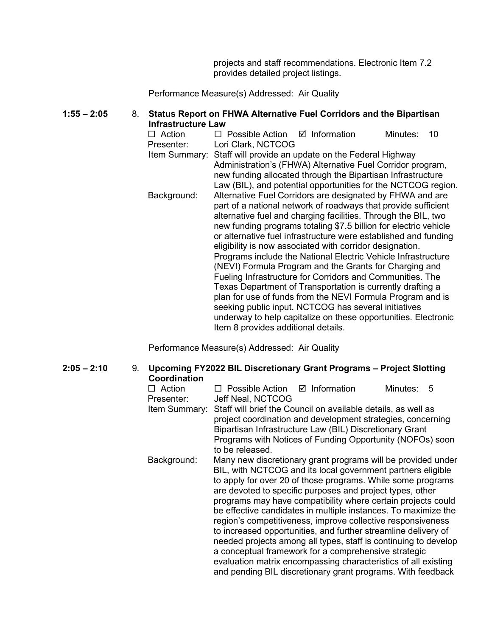projects and staff recommendations. Electronic Item 7.2 provides detailed project listings.

Performance Measure(s) Addressed: Air Quality

## **1:55 – 2:05** 8. **Status Report on FHWA Alternative Fuel Corridors and the Bipartisan Infrastructure Law**

 $\Box$  Action  $\Box$  Possible Action  $\Box$  Information Minutes: 10 Presenter: Lori Clark, NCTCOG Item Summary: Staff will provide an update on the Federal Highway Administration's (FHWA) Alternative Fuel Corridor program, new funding allocated through the Bipartisan Infrastructure Law (BIL), and potential opportunities for the NCTCOG region. Background: Alternative Fuel Corridors are designated by FHWA and are part of a national network of roadways that provide sufficient alternative fuel and charging facilities. Through the BIL, two new funding programs totaling \$7.5 billion for electric vehicle or alternative fuel infrastructure were established and funding eligibility is now associated with corridor designation. Programs include the National Electric Vehicle Infrastructure (NEVI) Formula Program and the Grants for Charging and Fueling Infrastructure for Corridors and Communities. The Texas Department of Transportation is currently drafting a plan for use of funds from the NEVI Formula Program and is seeking public input. NCTCOG has several initiatives underway to help capitalize on these opportunities. Electronic Item 8 provides additional details.

Performance Measure(s) Addressed: Air Quality

### **2:05 – 2:10** 9. **Upcoming FY2022 BIL Discretionary Grant Programs – Project Slotting Coordination**  $\Box$  Action  $\Box$  Possible Action  $\Box$  Information Minutes: 5 Presenter: Jeff Neal, NCTCOG Item Summary: Staff will brief the Council on available details, as well as project coordination and development strategies, concerning Bipartisan Infrastructure Law (BIL) Discretionary Grant Programs with Notices of Funding Opportunity (NOFOs) soon to be released. Background: Many new discretionary grant programs will be provided under BIL, with NCTCOG and its local government partners eligible to apply for over 20 of those programs. While some programs are devoted to specific purposes and project types, other programs may have compatibility where certain projects could be effective candidates in multiple instances. To maximize the region's competitiveness, improve collective responsiveness to increased opportunities, and further streamline delivery of needed projects among all types, staff is continuing to develop a conceptual framework for a comprehensive strategic evaluation matrix encompassing characteristics of all existing and pending BIL discretionary grant programs. With feedback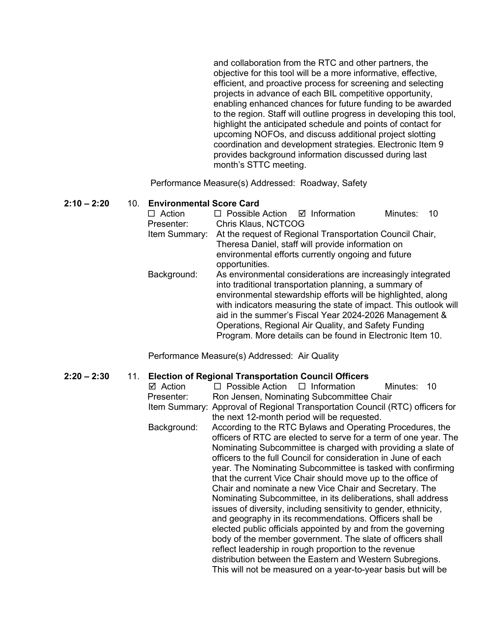and collaboration from the RTC and other partners, the objective for this tool will be a more informative, effective, efficient, and proactive process for screening and selecting projects in advance of each BIL competitive opportunity, enabling enhanced chances for future funding to be awarded to the region. Staff will outline progress in developing this tool, highlight the anticipated schedule and points of contact for upcoming NOFOs, and discuss additional project slotting coordination and development strategies. Electronic Item 9 provides background information discussed during last month's STTC meeting.

Performance Measure(s) Addressed: Roadway, Safety

### **2:10 – 2:20** 10. **Environmental Score Card**

| $\Box$ Action | $\Box$ Possible Action $\Box$ Information                |                                                                  | Minutes:<br>-10 |  |  |
|---------------|----------------------------------------------------------|------------------------------------------------------------------|-----------------|--|--|
| Presenter:    | Chris Klaus, NCTCOG                                      |                                                                  |                 |  |  |
| Item Summary: | At the request of Regional Transportation Council Chair, |                                                                  |                 |  |  |
|               |                                                          | Theresa Daniel, staff will provide information on                |                 |  |  |
|               |                                                          | environmental efforts currently ongoing and future               |                 |  |  |
|               | opportunities.                                           |                                                                  |                 |  |  |
| Background:   |                                                          | As environmental considerations are increasingly integrated      |                 |  |  |
|               |                                                          | into traditional transportation planning, a summary of           |                 |  |  |
|               |                                                          | environmental stewardship efforts will be highlighted, along     |                 |  |  |
|               |                                                          | with indicators measuring the state of impact. This outlook will |                 |  |  |
|               | aid in the summer's Fiscal Year 2024-2026 Management &   |                                                                  |                 |  |  |
|               |                                                          | Operations, Regional Air Quality, and Safety Funding             |                 |  |  |
|               |                                                          | Program. More details can be found in Electronic Item 10.        |                 |  |  |

Performance Measure(s) Addressed: Air Quality

### **2:20 – 2:30** 11. **Election of Regional Transportation Council Officers**

| ⊠ Action    | $\Box$ Possible Action $\Box$ Information                                    |                                             | Minutes: | 10 |  |  |
|-------------|------------------------------------------------------------------------------|---------------------------------------------|----------|----|--|--|
| Presenter:  | Ron Jensen, Nominating Subcommittee Chair                                    |                                             |          |    |  |  |
|             | Item Summary: Approval of Regional Transportation Council (RTC) officers for |                                             |          |    |  |  |
|             |                                                                              | the next 12-month period will be requested. |          |    |  |  |
| Background: | According to the RTC Bylaws and Operating Procedures, the                    |                                             |          |    |  |  |
|             | officers of RTC are elected to serve for a term of one year. The             |                                             |          |    |  |  |
|             | Nominating Subcommittee is charged with providing a slate of                 |                                             |          |    |  |  |
|             | officers to the full Council for consideration in June of each               |                                             |          |    |  |  |
|             | year. The Nominating Subcommittee is tasked with confirming                  |                                             |          |    |  |  |
|             | that the current Vice Chair should move up to the office of                  |                                             |          |    |  |  |
|             | Chair and nominate a new Vice Chair and Secretary. The                       |                                             |          |    |  |  |
|             | Nominating Subcommittee, in its deliberations, shall address                 |                                             |          |    |  |  |
|             | issues of diversity, including sensitivity to gender, ethnicity,             |                                             |          |    |  |  |
|             | and geography in its recommendations. Officers shall be                      |                                             |          |    |  |  |
|             | elected public officials appointed by and from the governing                 |                                             |          |    |  |  |
|             | body of the member government. The slate of officers shall                   |                                             |          |    |  |  |
|             | reflect leadership in rough proportion to the revenue                        |                                             |          |    |  |  |
|             | distribution between the Eastern and Western Subregions.                     |                                             |          |    |  |  |
|             | This will not be measured on a year-to-year basis but will be                |                                             |          |    |  |  |
|             |                                                                              |                                             |          |    |  |  |